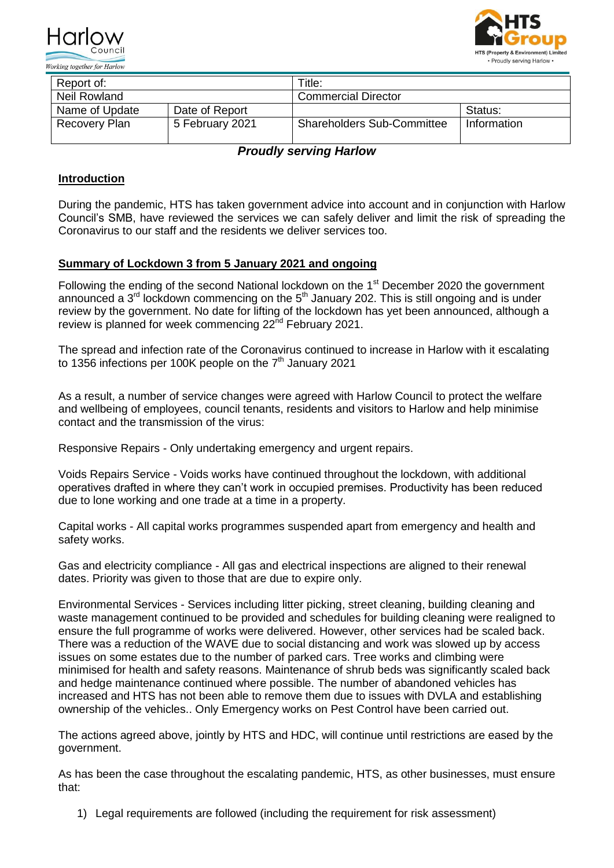



| Report of:          |                 | Title:                            |             |
|---------------------|-----------------|-----------------------------------|-------------|
| <b>Neil Rowland</b> |                 | <b>Commercial Director</b>        |             |
| Name of Update      | Date of Report  |                                   | Status:     |
| Recovery Plan       | 5 February 2021 | <b>Shareholders Sub-Committee</b> | Information |

*Proudly serving Harlow*

# **Introduction**

During the pandemic, HTS has taken government advice into account and in conjunction with Harlow Council's SMB, have reviewed the services we can safely deliver and limit the risk of spreading the Coronavirus to our staff and the residents we deliver services too.

## **Summary of Lockdown 3 from 5 January 2021 and ongoing**

Following the ending of the second National lockdown on the 1<sup>st</sup> December 2020 the government announced a  $3<sup>rd</sup>$  lockdown commencing on the  $5<sup>th</sup>$  January 202. This is still ongoing and is under review by the government. No date for lifting of the lockdown has yet been announced, although a review is planned for week commencing 22<sup>nd</sup> February 2021.

The spread and infection rate of the Coronavirus continued to increase in Harlow with it escalating to 1356 infections per 100K people on the  $7<sup>th</sup>$  January 2021

As a result, a number of service changes were agreed with Harlow Council to protect the welfare and wellbeing of employees, council tenants, residents and visitors to Harlow and help minimise contact and the transmission of the virus:

Responsive Repairs - Only undertaking emergency and urgent repairs.

Voids Repairs Service - Voids works have continued throughout the lockdown, with additional operatives drafted in where they can't work in occupied premises. Productivity has been reduced due to lone working and one trade at a time in a property.

Capital works - All capital works programmes suspended apart from emergency and health and safety works.

Gas and electricity compliance - All gas and electrical inspections are aligned to their renewal dates. Priority was given to those that are due to expire only.

Environmental Services - Services including litter picking, street cleaning, building cleaning and waste management continued to be provided and schedules for building cleaning were realigned to ensure the full programme of works were delivered. However, other services had be scaled back. There was a reduction of the WAVE due to social distancing and work was slowed up by access issues on some estates due to the number of parked cars. Tree works and climbing were minimised for health and safety reasons. Maintenance of shrub beds was significantly scaled back and hedge maintenance continued where possible. The number of abandoned vehicles has increased and HTS has not been able to remove them due to issues with DVLA and establishing ownership of the vehicles.. Only Emergency works on Pest Control have been carried out.

The actions agreed above, jointly by HTS and HDC, will continue until restrictions are eased by the government.

As has been the case throughout the escalating pandemic, HTS, as other businesses, must ensure that:

1) Legal requirements are followed (including the requirement for risk assessment)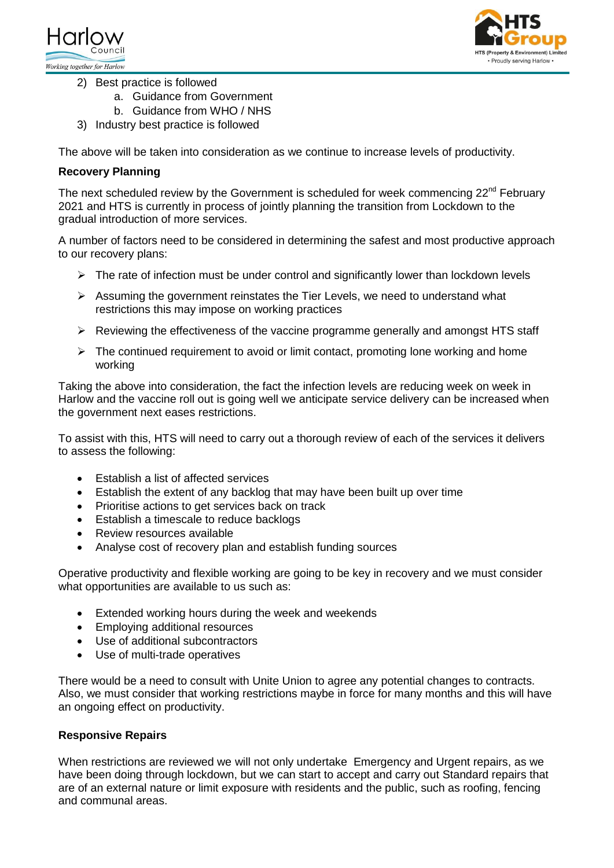



- 2) Best practice is followed
	- a. Guidance from Government
	- b. Guidance from WHO / NHS
- 3) Industry best practice is followed

The above will be taken into consideration as we continue to increase levels of productivity.

## **Recovery Planning**

The next scheduled review by the Government is scheduled for week commencing  $22^{nd}$  February 2021 and HTS is currently in process of jointly planning the transition from Lockdown to the gradual introduction of more services.

A number of factors need to be considered in determining the safest and most productive approach to our recovery plans:

- $\triangleright$  The rate of infection must be under control and significantly lower than lockdown levels
- $\triangleright$  Assuming the government reinstates the Tier Levels, we need to understand what restrictions this may impose on working practices
- $\triangleright$  Reviewing the effectiveness of the vaccine programme generally and amongst HTS staff
- $\triangleright$  The continued requirement to avoid or limit contact, promoting lone working and home working

Taking the above into consideration, the fact the infection levels are reducing week on week in Harlow and the vaccine roll out is going well we anticipate service delivery can be increased when the government next eases restrictions.

To assist with this, HTS will need to carry out a thorough review of each of the services it delivers to assess the following:

- Establish a list of affected services
- Establish the extent of any backlog that may have been built up over time
- Prioritise actions to get services back on track
- Establish a timescale to reduce backlogs
- Review resources available
- Analyse cost of recovery plan and establish funding sources

Operative productivity and flexible working are going to be key in recovery and we must consider what opportunities are available to us such as:

- Extended working hours during the week and weekends
- Employing additional resources
- Use of additional subcontractors
- Use of multi-trade operatives

There would be a need to consult with Unite Union to agree any potential changes to contracts. Also, we must consider that working restrictions maybe in force for many months and this will have an ongoing effect on productivity.

## **Responsive Repairs**

When restrictions are reviewed we will not only undertake Emergency and Urgent repairs, as we have been doing through lockdown, but we can start to accept and carry out Standard repairs that are of an external nature or limit exposure with residents and the public, such as roofing, fencing and communal areas.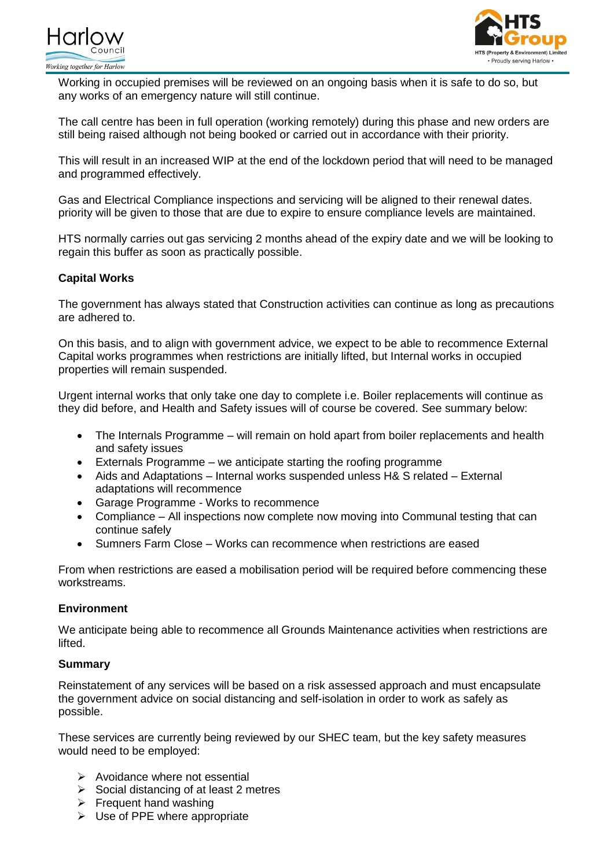



Working in occupied premises will be reviewed on an ongoing basis when it is safe to do so, but any works of an emergency nature will still continue.

The call centre has been in full operation (working remotely) during this phase and new orders are still being raised although not being booked or carried out in accordance with their priority.

This will result in an increased WIP at the end of the lockdown period that will need to be managed and programmed effectively.

Gas and Electrical Compliance inspections and servicing will be aligned to their renewal dates. priority will be given to those that are due to expire to ensure compliance levels are maintained.

HTS normally carries out gas servicing 2 months ahead of the expiry date and we will be looking to regain this buffer as soon as practically possible.

## **Capital Works**

The government has always stated that Construction activities can continue as long as precautions are adhered to.

On this basis, and to align with government advice, we expect to be able to recommence External Capital works programmes when restrictions are initially lifted, but Internal works in occupied properties will remain suspended.

Urgent internal works that only take one day to complete i.e. Boiler replacements will continue as they did before, and Health and Safety issues will of course be covered. See summary below:

- The Internals Programme will remain on hold apart from boiler replacements and health and safety issues
- Externals Programme we anticipate starting the roofing programme
- Aids and Adaptations Internal works suspended unless H& S related External adaptations will recommence
- Garage Programme Works to recommence
- Compliance All inspections now complete now moving into Communal testing that can continue safely
- Sumners Farm Close Works can recommence when restrictions are eased

From when restrictions are eased a mobilisation period will be required before commencing these workstreams.

## **Environment**

We anticipate being able to recommence all Grounds Maintenance activities when restrictions are lifted.

### **Summary**

Reinstatement of any services will be based on a risk assessed approach and must encapsulate the government advice on social distancing and self-isolation in order to work as safely as possible.

These services are currently being reviewed by our SHEC team, but the key safety measures would need to be employed:

- $\triangleright$  Avoidance where not essential
- $\triangleright$  Social distancing of at least 2 metres
- $\triangleright$  Frequent hand washing
- $\triangleright$  Use of PPE where appropriate